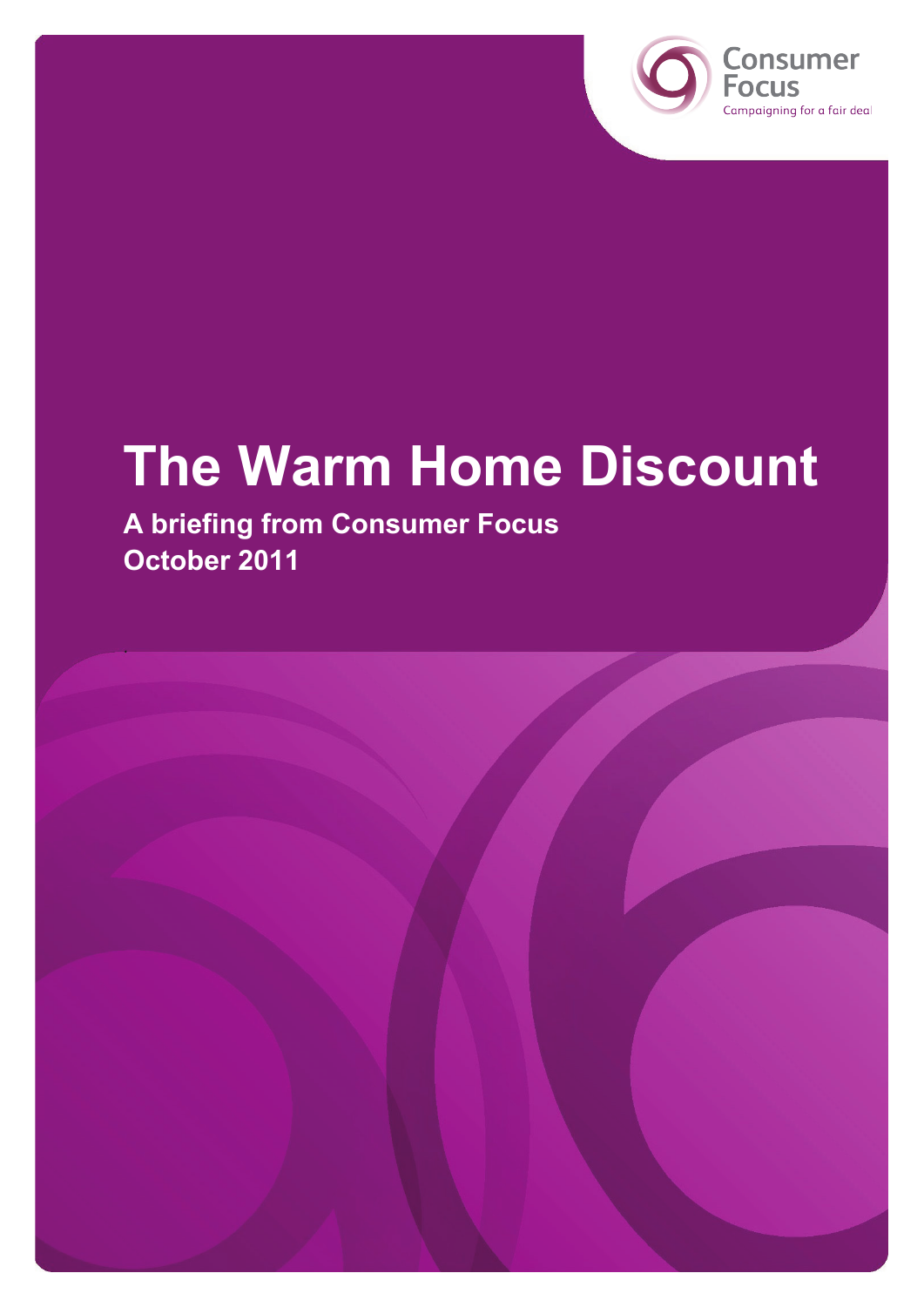



# **The Warm Home Discount**

**A briefing from Consumer Focus October 2011**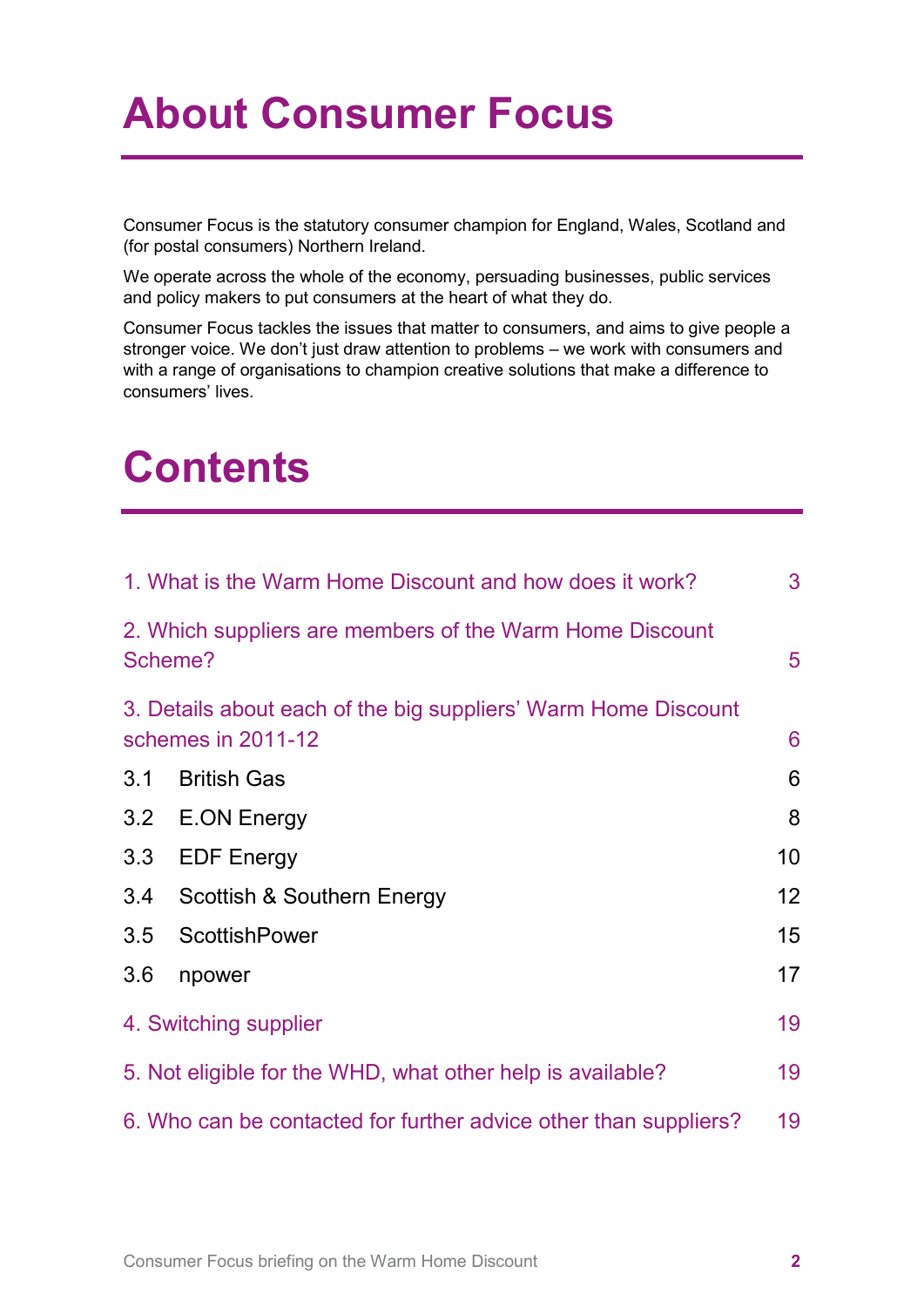## **About Consumer Focus**

Consumer Focus is the statutory consumer champion for England, Wales, Scotland and (for postal consumers) Northern Ireland.

We operate across the whole of the economy, persuading businesses, public services and policy makers to put consumers at the heart of what they do.

Consumer Focus tackles the issues that matter to consumers, and aims to give people a stronger voice. We don't just draw attention to problems – we work with consumers and with a range of organisations to champion creative solutions that make a difference to consumers' lives.

## **Contents**

|                                                                                      | 1. What is the Warm Home Discount and how does it work? | 3               |  |
|--------------------------------------------------------------------------------------|---------------------------------------------------------|-----------------|--|
| 2. Which suppliers are members of the Warm Home Discount<br>Scheme?                  |                                                         |                 |  |
| 3. Details about each of the big suppliers' Warm Home Discount<br>schemes in 2011-12 |                                                         |                 |  |
| 3.1                                                                                  | <b>British Gas</b>                                      | 6               |  |
| 3.2                                                                                  | E.ON Energy                                             | 8               |  |
| 3.3                                                                                  | <b>EDF Energy</b>                                       | 10              |  |
| 3.4                                                                                  | Scottish & Southern Energy                              | 12 <sup>2</sup> |  |
| 3.5                                                                                  | <b>ScottishPower</b>                                    | 15 <sub>1</sub> |  |
| 3.6                                                                                  | npower                                                  | 17              |  |
| 4. Switching supplier                                                                |                                                         |                 |  |
| 5. Not eligible for the WHD, what other help is available?                           |                                                         |                 |  |
| 19<br>6. Who can be contacted for further advice other than suppliers?               |                                                         |                 |  |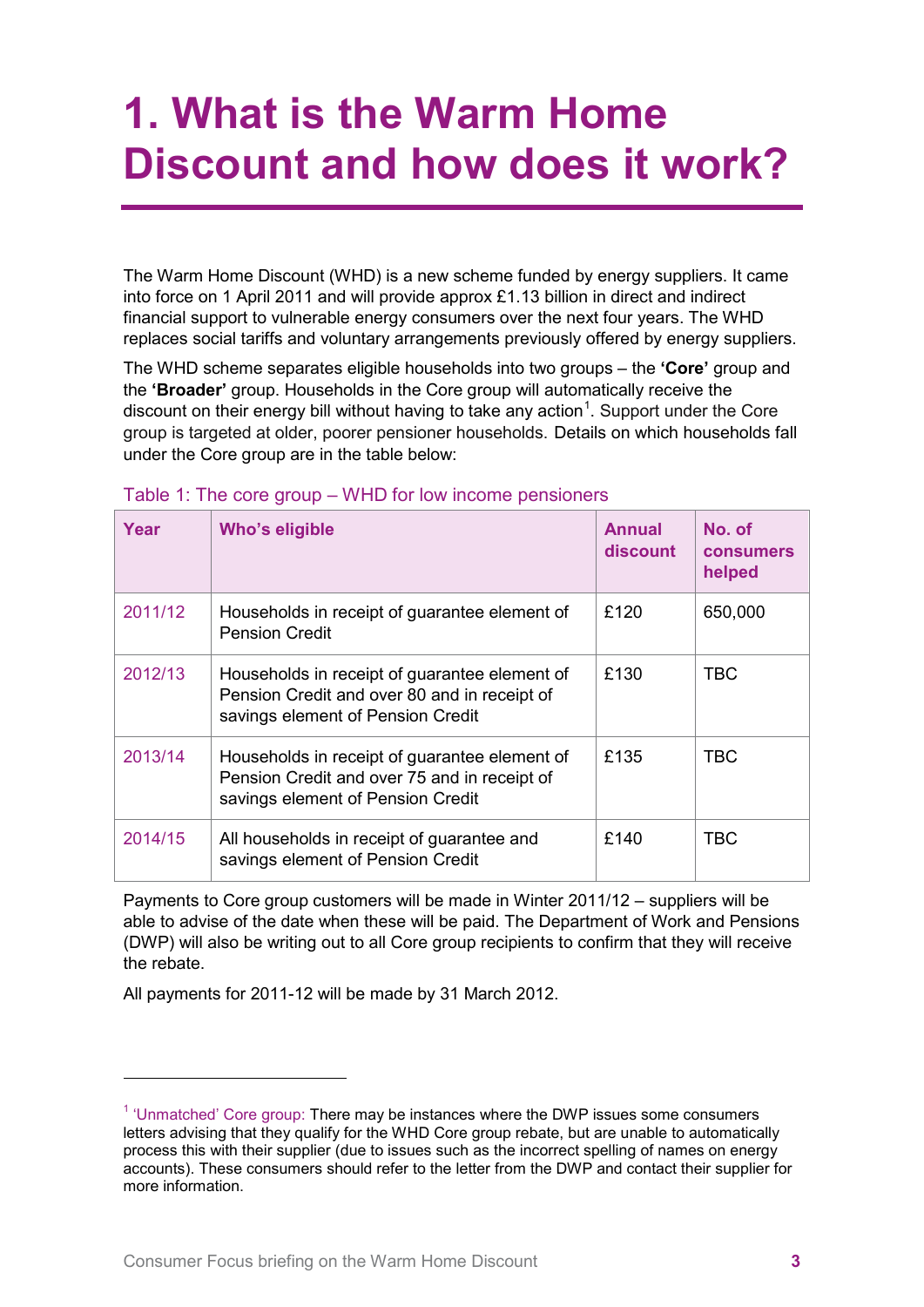## <span id="page-2-0"></span>**1. What is the Warm Home Discount and how does it work?**

The Warm Home Discount (WHD) is a new scheme funded by energy suppliers. It came into force on 1 April 2011 and will provide approx £1.13 billion in direct and indirect financial support to vulnerable energy consumers over the next four years. The WHD replaces social tariffs and voluntary arrangements previously offered by energy suppliers.

The WHD scheme separates eligible households into two groups – the **'Core'** group and the **'Broader'** group. Households in the Core group will automatically receive the discount on their energy bill without having to take any action<sup>[1](#page-2-1)</sup>. Support under the Core group is targeted at older, poorer pensioner households. Details on which households fall under the Core group are in the table below:

| Year    | Who's eligible                                                                                                                     | <b>Annual</b><br>discount | No. of<br><b>consumers</b><br>helped |
|---------|------------------------------------------------------------------------------------------------------------------------------------|---------------------------|--------------------------------------|
| 2011/12 | Households in receipt of guarantee element of<br><b>Pension Credit</b>                                                             | £120                      | 650,000                              |
| 2012/13 | Households in receipt of guarantee element of<br>Pension Credit and over 80 and in receipt of<br>savings element of Pension Credit | £130                      | <b>TBC</b>                           |
| 2013/14 | Households in receipt of guarantee element of<br>Pension Credit and over 75 and in receipt of<br>savings element of Pension Credit | £135                      | <b>TBC</b>                           |
| 2014/15 | All households in receipt of guarantee and<br>savings element of Pension Credit                                                    | £140                      | <b>TBC</b>                           |

#### Table 1: The core group – WHD for low income pensioners

Payments to Core group customers will be made in Winter 2011/12 – suppliers will be able to advise of the date when these will be paid. The Department of Work and Pensions (DWP) will also be writing out to all Core group recipients to confirm that they will receive the rebate.

All payments for 2011-12 will be made by 31 March 2012.

 $\overline{a}$ 

<span id="page-2-1"></span> $<sup>1</sup>$  'Unmatched' Core group: There may be instances where the DWP issues some consumers</sup> letters advising that they qualify for the WHD Core group rebate, but are unable to automatically process this with their supplier (due to issues such as the incorrect spelling of names on energy accounts). These consumers should refer to the letter from the DWP and contact their supplier for more information.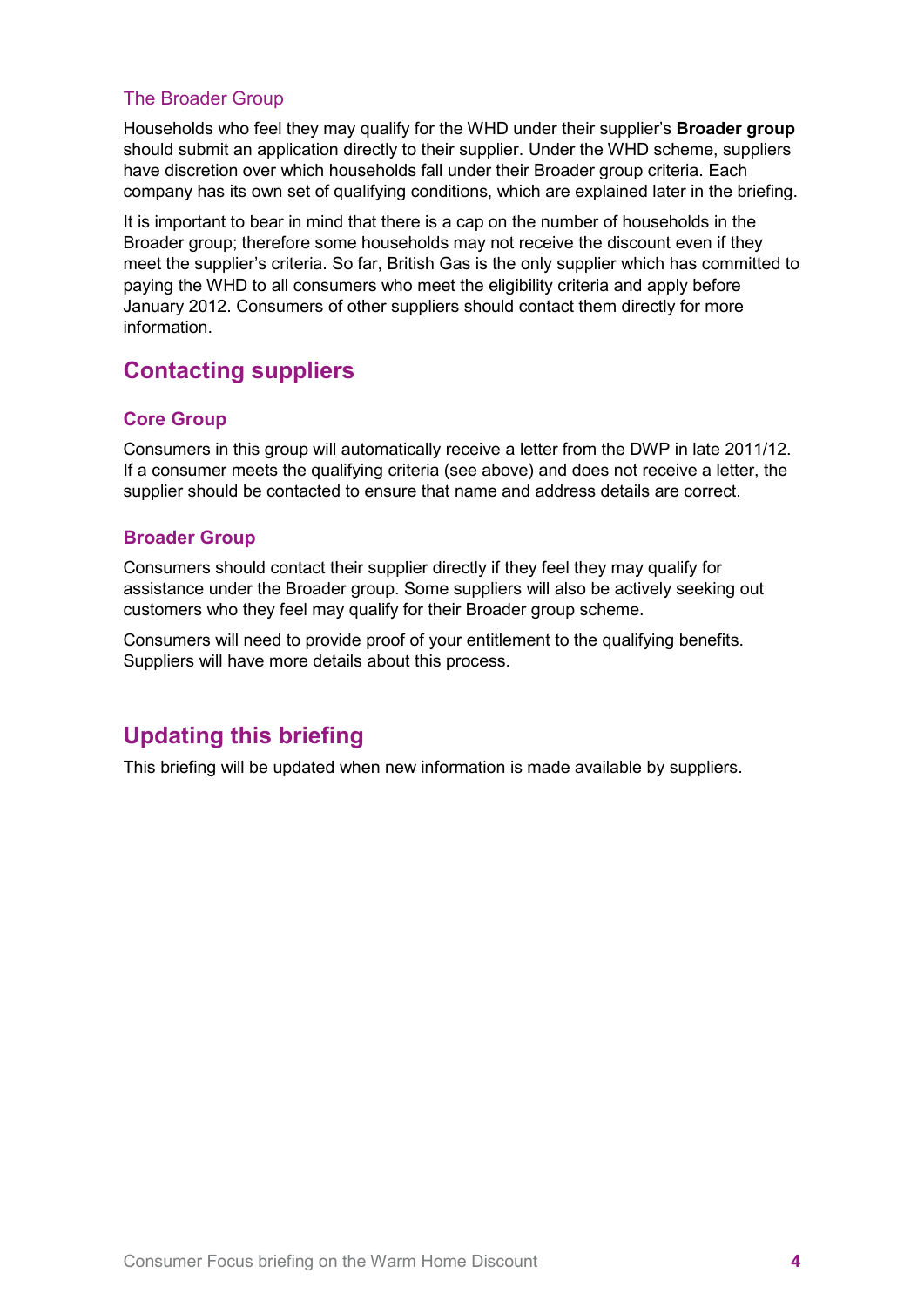## The Broader Group

Households who feel they may qualify for the WHD under their supplier's **Broader group** should submit an application directly to their supplier. Under the WHD scheme, suppliers have discretion over which households fall under their Broader group criteria. Each company has its own set of qualifying conditions, which are explained later in the briefing.

It is important to bear in mind that there is a cap on the number of households in the Broader group; therefore some households may not receive the discount even if they meet the supplier's criteria. So far, British Gas is the only supplier which has committed to paying the WHD to all consumers who meet the eligibility criteria and apply before January 2012. Consumers of other suppliers should contact them directly for more information.

## **Contacting suppliers**

## **Core Group**

Consumers in this group will automatically receive a letter from the DWP in late 2011/12. If a consumer meets the qualifying criteria (see above) and does not receive a letter, the supplier should be contacted to ensure that name and address details are correct.

## **Broader Group**

Consumers should contact their supplier directly if they feel they may qualify for assistance under the Broader group. Some suppliers will also be actively seeking out customers who they feel may qualify for their Broader group scheme.

Consumers will need to provide proof of your entitlement to the qualifying benefits. Suppliers will have more details about this process.

## **Updating this briefing**

This briefing will be updated when new information is made available by suppliers.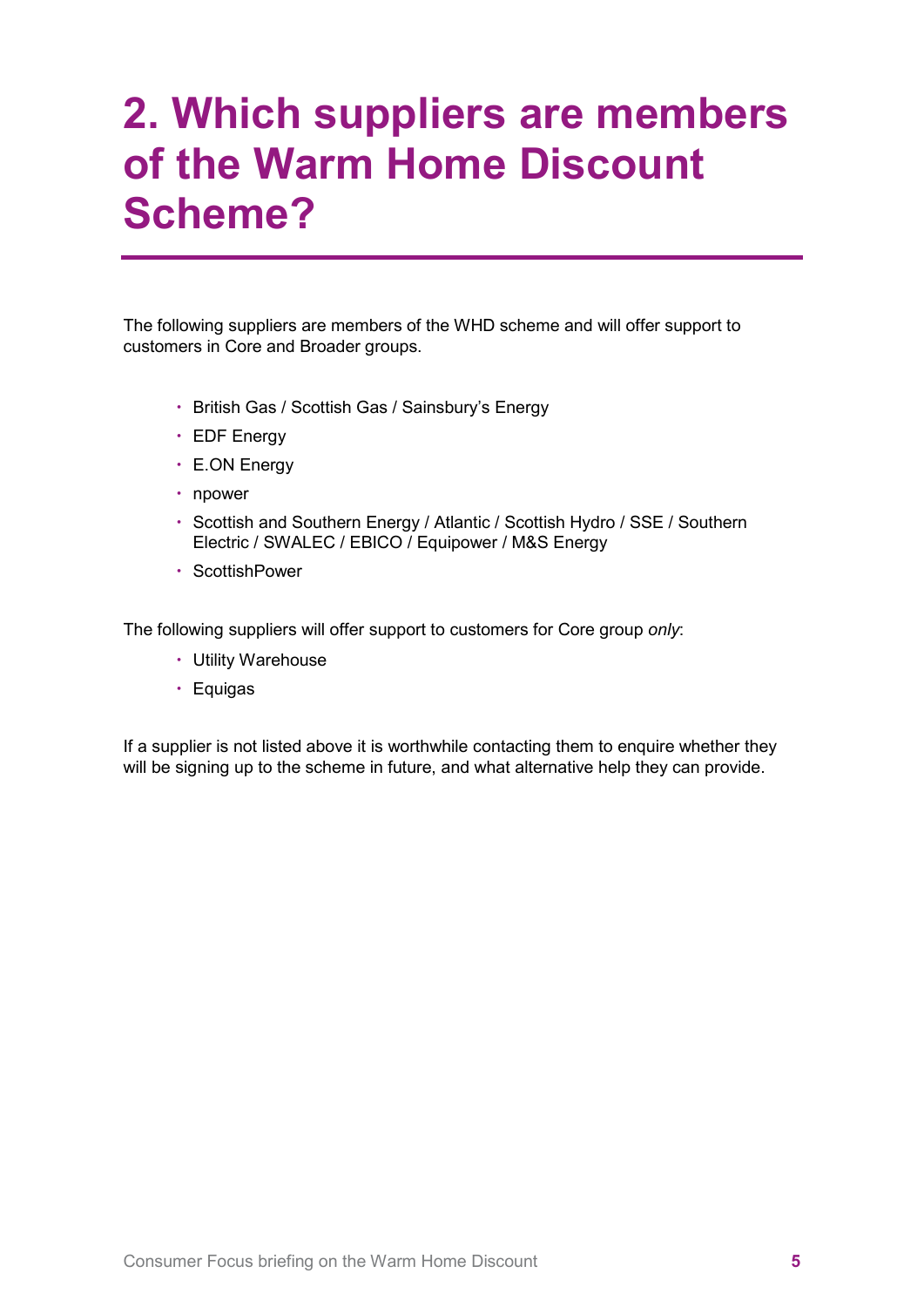## <span id="page-4-0"></span>**2. Which suppliers are members of the Warm Home Discount Scheme?**

The following suppliers are members of the WHD scheme and will offer support to customers in Core and Broader groups.

- British Gas / Scottish Gas / Sainsbury's Energy
- EDF Energy
- E.ON Energy
- npower
- Scottish and Southern Energy / Atlantic / Scottish Hydro / SSE / Southern Electric / SWALEC / EBICO / Equipower / M&S Energy
- ScottishPower

The following suppliers will offer support to customers for Core group *only*:

- Utility Warehouse
- Equigas

If a supplier is not listed above it is worthwhile contacting them to enquire whether they will be signing up to the scheme in future, and what alternative help they can provide.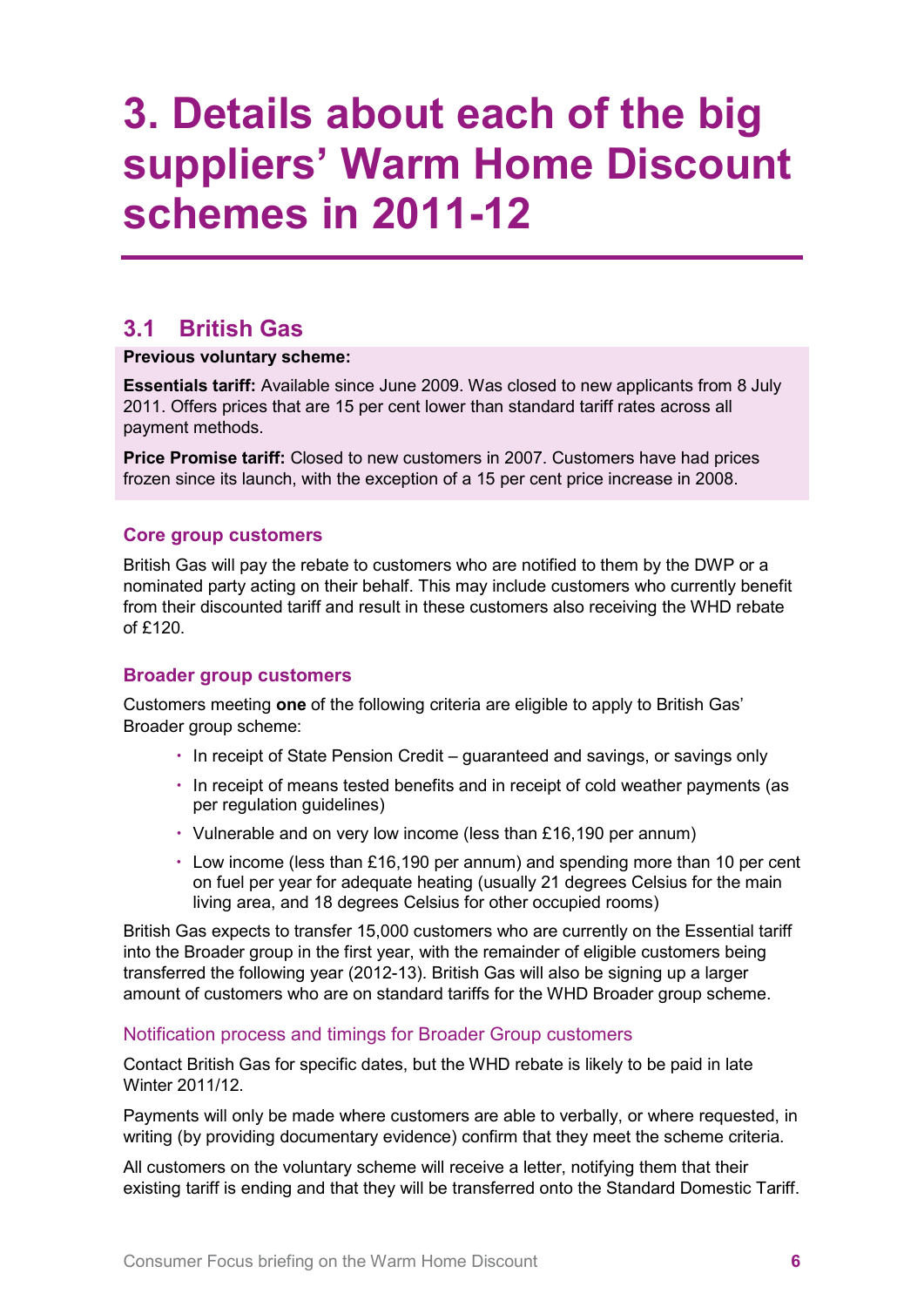## <span id="page-5-0"></span>**3. Details about each of the big suppliers' Warm Home Discount schemes in 2011-12**

## <span id="page-5-1"></span>**3.1 British Gas**

#### **Previous voluntary scheme:**

**Essentials tariff:** Available since June 2009. Was closed to new applicants from 8 July 2011. Offers prices that are 15 per cent lower than standard tariff rates across all payment methods.

**Price Promise tariff:** Closed to new customers in 2007. Customers have had prices frozen since its launch, with the exception of a 15 per cent price increase in 2008.

## **Core group customers**

British Gas will pay the rebate to customers who are notified to them by the DWP or a nominated party acting on their behalf. This may include customers who currently benefit from their discounted tariff and result in these customers also receiving the WHD rebate of  $f120$ 

## **Broader group customers**

Customers meeting **one** of the following criteria are eligible to apply to British Gas' Broader group scheme:

- In receipt of State Pension Credit guaranteed and savings, or savings only
- In receipt of means tested benefits and in receipt of cold weather payments (as per regulation guidelines)
- Vulnerable and on very low income (less than £16,190 per annum)
- $\cdot$  Low income (less than £16,190 per annum) and spending more than 10 per cent on fuel per year for adequate heating (usually 21 degrees Celsius for the main living area, and 18 degrees Celsius for other occupied rooms)

British Gas expects to transfer 15,000 customers who are currently on the Essential tariff into the Broader group in the first year, with the remainder of eligible customers being transferred the following year (2012-13). British Gas will also be signing up a larger amount of customers who are on standard tariffs for the WHD Broader group scheme.

## Notification process and timings for Broader Group customers

Contact British Gas for specific dates, but the WHD rebate is likely to be paid in late Winter 2011/12.

Payments will only be made where customers are able to verbally, or where requested, in writing (by providing documentary evidence) confirm that they meet the scheme criteria.

All customers on the voluntary scheme will receive a letter, notifying them that their existing tariff is ending and that they will be transferred onto the Standard Domestic Tariff.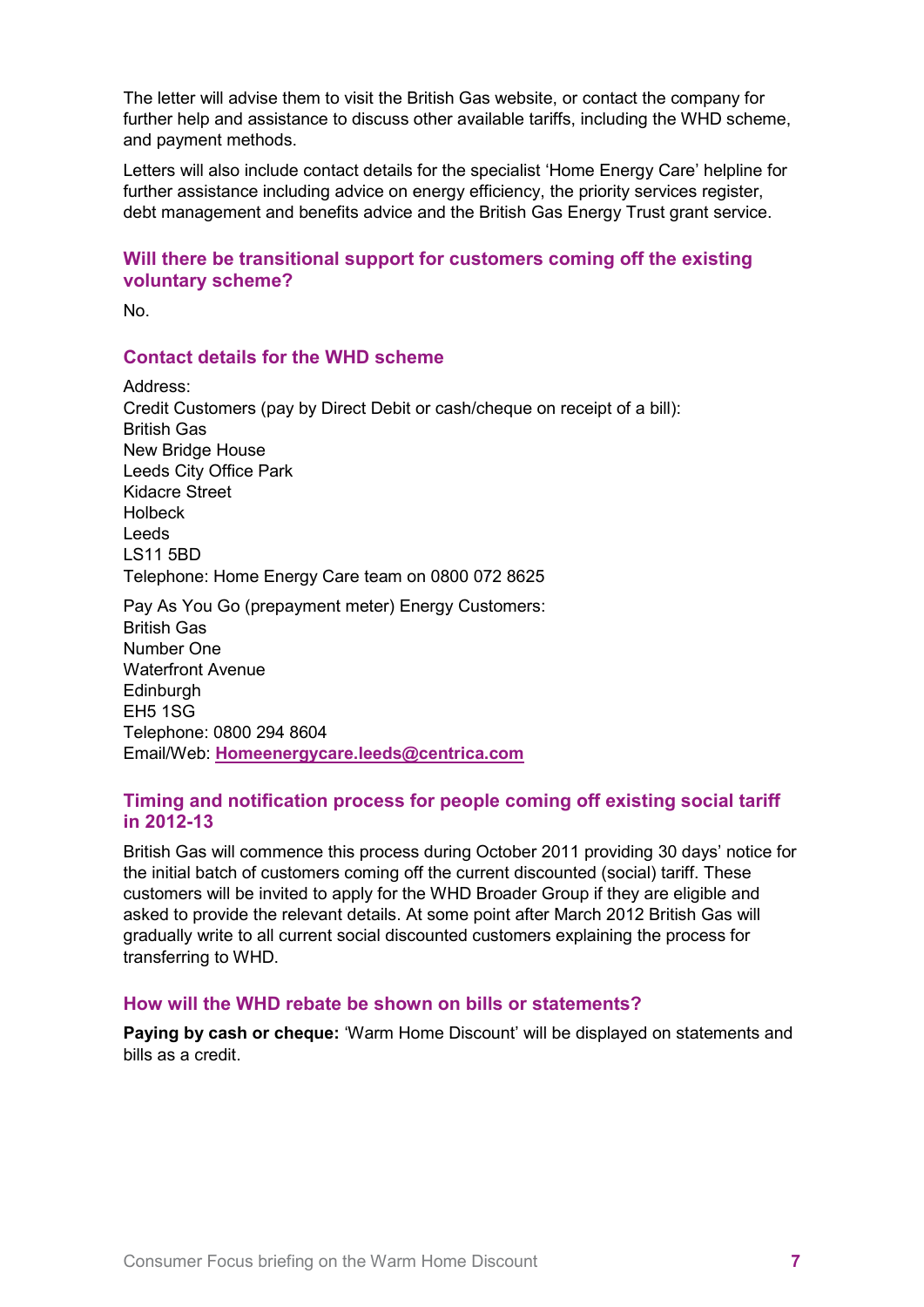The letter will advise them to visit the British Gas website, or contact the company for further help and assistance to discuss other available tariffs, including the WHD scheme, and payment methods.

Letters will also include contact details for the specialist 'Home Energy Care' helpline for further assistance including advice on energy efficiency, the priority services register, debt management and benefits advice and the British Gas Energy Trust grant service.

## **Will there be transitional support for customers coming off the existing voluntary scheme?**

No.

#### **Contact details for the WHD scheme**

Address: Credit Customers (pay by Direct Debit or cash/cheque on receipt of a bill): British Gas New Bridge House Leeds City Office Park Kidacre Street Holbeck Leeds LS11 5BD Telephone: Home Energy Care team on 0800 072 8625 Pay As You Go (prepayment meter) Energy Customers: British Gas Number One Waterfront Avenue

**Edinburgh** EH5 1SG Telephone: 0800 294 8604 Email/Web: **[Homeenergycare.leeds@centrica.com](mailto:Homeenergycare.leeds@centrica.com)**

## **Timing and notification process for people coming off existing social tariff in 2012-13**

British Gas will commence this process during October 2011 providing 30 days' notice for the initial batch of customers coming off the current discounted (social) tariff. These customers will be invited to apply for the WHD Broader Group if they are eligible and asked to provide the relevant details. At some point after March 2012 British Gas will gradually write to all current social discounted customers explaining the process for transferring to WHD.

#### **How will the WHD rebate be shown on bills or statements?**

**Paying by cash or cheque:** 'Warm Home Discount' will be displayed on statements and bills as a credit.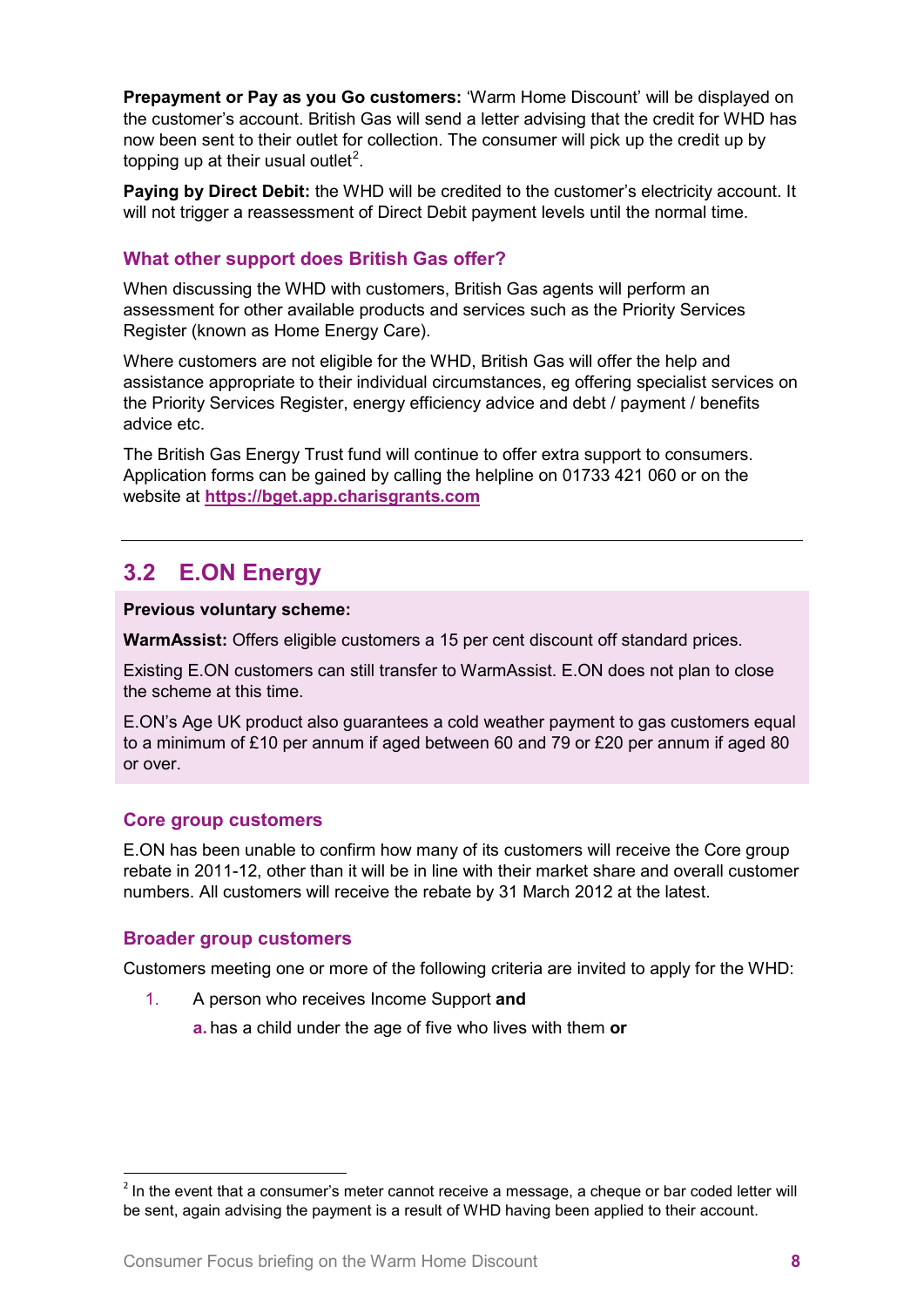**Prepayment or Pay as you Go customers:** 'Warm Home Discount' will be displayed on the customer's account. British Gas will send a letter advising that the credit for WHD has now been sent to their outlet for collection. The consumer will pick up the credit up by topping up at their usual outlet<sup>[2](#page-7-1)</sup>.

**Paying by Direct Debit:** the WHD will be credited to the customer's electricity account. It will not trigger a reassessment of Direct Debit payment levels until the normal time.

## **What other support does British Gas offer?**

When discussing the WHD with customers, British Gas agents will perform an assessment for other available products and services such as the Priority Services Register (known as Home Energy Care).

Where customers are not eligible for the WHD, British Gas will offer the help and assistance appropriate to their individual circumstances, eg offering specialist services on the Priority Services Register, energy efficiency advice and debt / payment / benefits advice etc.

The British Gas Energy Trust fund will continue to offer extra support to consumers. Application forms can be gained by calling the helpline on 01733 421 060 or on the website at **[https://bget.app.charisgrants.com](https://bget.app.charisgrants.com/)**

## <span id="page-7-0"></span>**3.2 E.ON Energy**

**Previous voluntary scheme:**

**WarmAssist:** Offers eligible customers a 15 per cent discount off standard prices.

Existing E.ON customers can still transfer to WarmAssist. E.ON does not plan to close the scheme at this time.

E.ON's Age UK product also guarantees a cold weather payment to gas customers equal to a minimum of £10 per annum if aged between 60 and 79 or £20 per annum if aged 80 or over.

## **Core group customers**

E.ON has been unable to confirm how many of its customers will receive the Core group rebate in 2011-12, other than it will be in line with their market share and overall customer numbers. All customers will receive the rebate by 31 March 2012 at the latest.

#### **Broader group customers**

Customers meeting one or more of the following criteria are invited to apply for the WHD:

1. A person who receives Income Support **and**

**a.** has a child under the age of five who lives with them **or**

<span id="page-7-1"></span> $2$  In the event that a consumer's meter cannot receive a message, a cheque or bar coded letter will be sent, again advising the payment is a result of WHD having been applied to their account.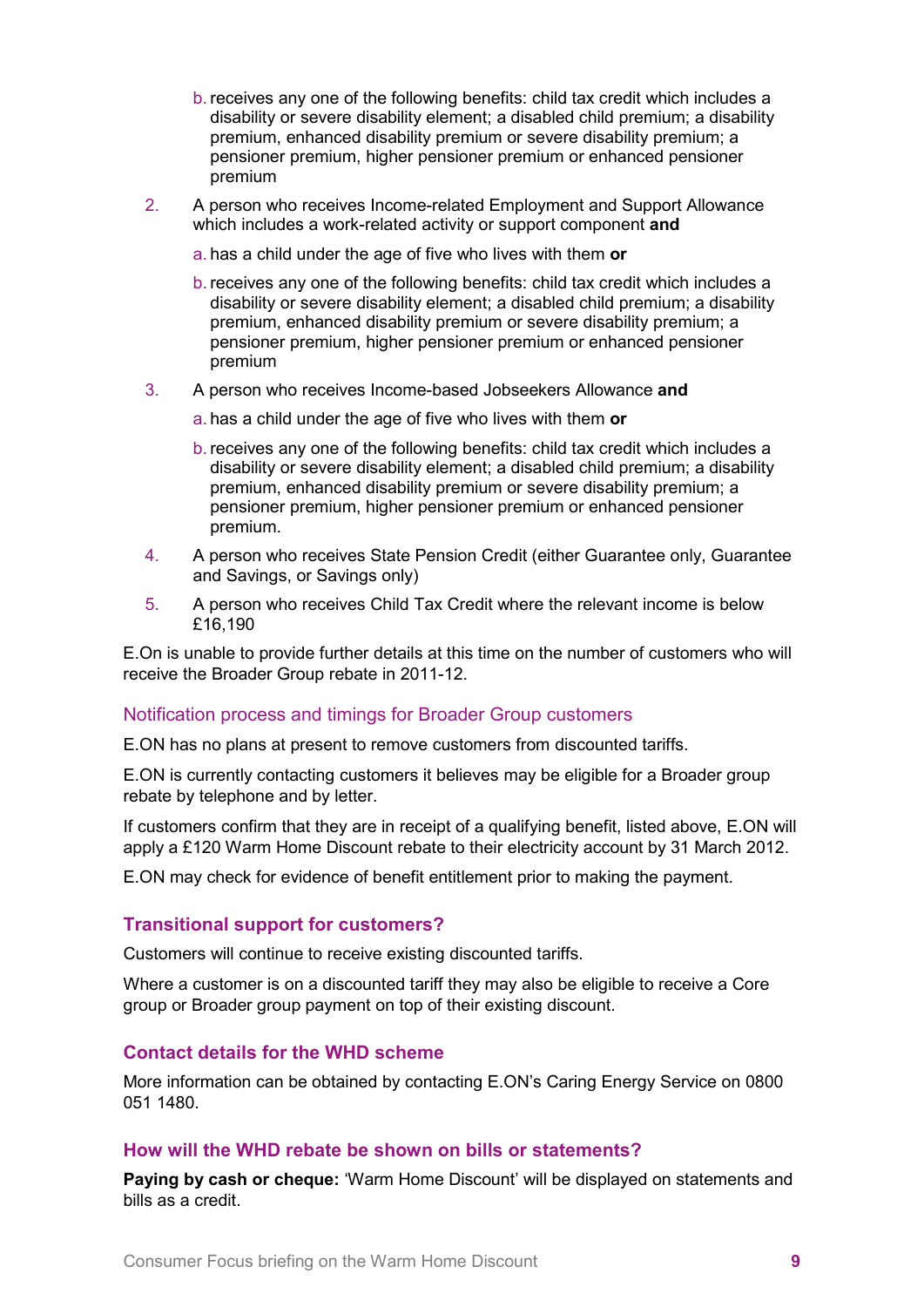- b. receives any one of the following benefits: child tax credit which includes a disability or severe disability element; a disabled child premium; a disability premium, enhanced disability premium or severe disability premium; a pensioner premium, higher pensioner premium or enhanced pensioner premium
- 2. A person who receives Income-related Employment and Support Allowance which includes a work-related activity or support component **and**
	- a. has a child under the age of five who lives with them **or**
	- b. receives any one of the following benefits: child tax credit which includes a disability or severe disability element; a disabled child premium; a disability premium, enhanced disability premium or severe disability premium; a pensioner premium, higher pensioner premium or enhanced pensioner premium
- 3. A person who receives Income-based Jobseekers Allowance **and**
	- a. has a child under the age of five who lives with them **or**
	- b. receives any one of the following benefits: child tax credit which includes a disability or severe disability element; a disabled child premium; a disability premium, enhanced disability premium or severe disability premium; a pensioner premium, higher pensioner premium or enhanced pensioner premium.
- 4. A person who receives State Pension Credit (either Guarantee only, Guarantee and Savings, or Savings only)
- 5. A person who receives Child Tax Credit where the relevant income is below £16,190

E.On is unable to provide further details at this time on the number of customers who will receive the Broader Group rebate in 2011-12.

#### Notification process and timings for Broader Group customers

E.ON has no plans at present to remove customers from discounted tariffs.

E.ON is currently contacting customers it believes may be eligible for a Broader group rebate by telephone and by letter.

If customers confirm that they are in receipt of a qualifying benefit, listed above, E.ON will apply a £120 Warm Home Discount rebate to their electricity account by 31 March 2012.

E.ON may check for evidence of benefit entitlement prior to making the payment.

#### **Transitional support for customers?**

Customers will continue to receive existing discounted tariffs.

Where a customer is on a discounted tariff they may also be eligible to receive a Core group or Broader group payment on top of their existing discount.

#### **Contact details for the WHD scheme**

More information can be obtained by contacting E.ON's Caring Energy Service on 0800 051 1480.

#### **How will the WHD rebate be shown on bills or statements?**

**Paying by cash or cheque:** 'Warm Home Discount' will be displayed on statements and bills as a credit.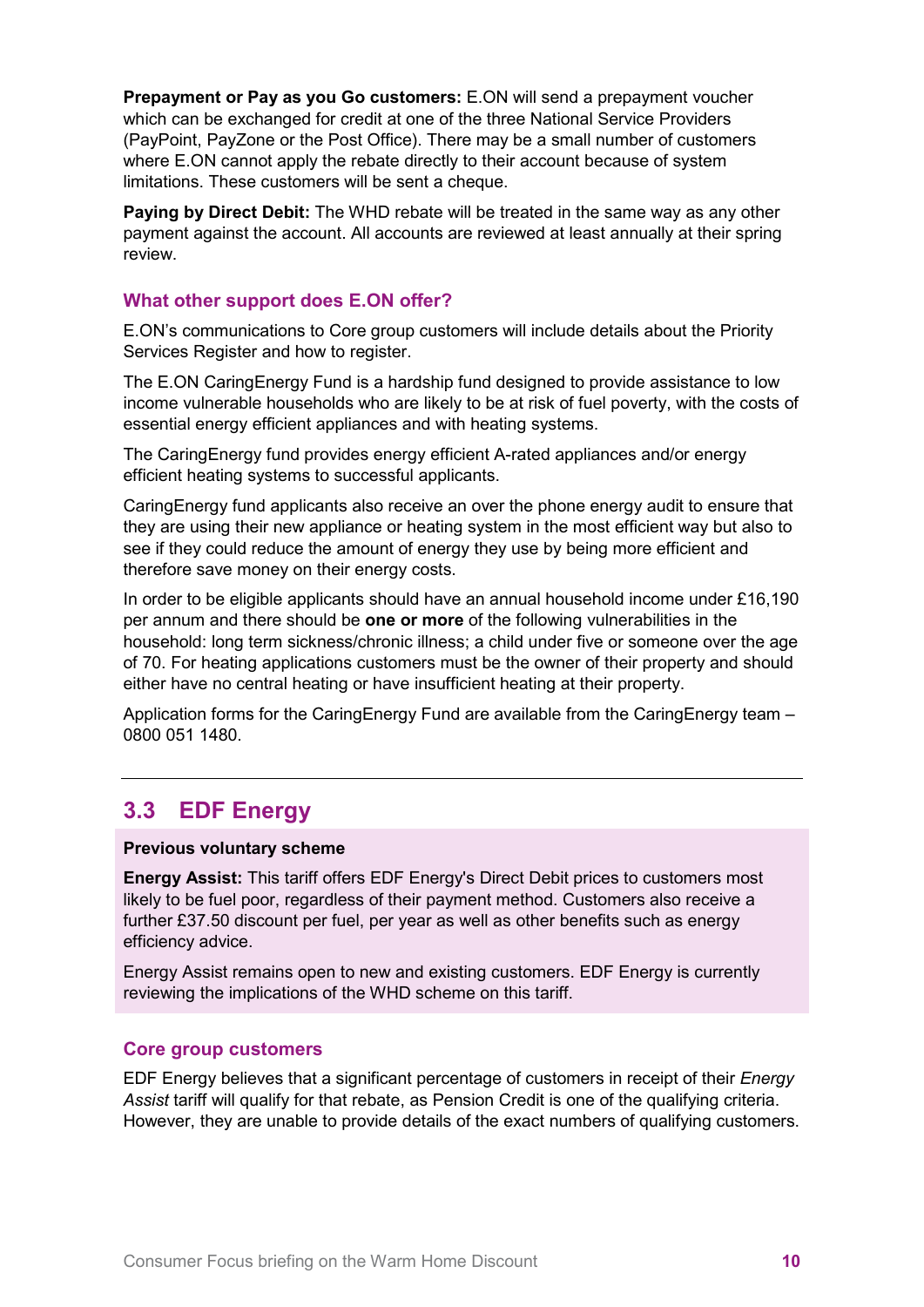**Prepayment or Pay as you Go customers:** E.ON will send a prepayment voucher which can be exchanged for credit at one of the three National Service Providers (PayPoint, PayZone or the Post Office). There may be a small number of customers where E.ON cannot apply the rebate directly to their account because of system limitations. These customers will be sent a cheque.

**Paying by Direct Debit:** The WHD rebate will be treated in the same way as any other payment against the account. All accounts are reviewed at least annually at their spring review.

#### **What other support does E.ON offer?**

E.ON's communications to Core group customers will include details about the Priority Services Register and how to register.

The E.ON CaringEnergy Fund is a hardship fund designed to provide assistance to low income vulnerable households who are likely to be at risk of fuel poverty, with the costs of essential energy efficient appliances and with heating systems.

The CaringEnergy fund provides energy efficient A-rated appliances and/or energy efficient heating systems to successful applicants.

CaringEnergy fund applicants also receive an over the phone energy audit to ensure that they are using their new appliance or heating system in the most efficient way but also to see if they could reduce the amount of energy they use by being more efficient and therefore save money on their energy costs.

In order to be eligible applicants should have an annual household income under £16,190 per annum and there should be **one or more** of the following vulnerabilities in the household: long term sickness/chronic illness; a child under five or someone over the age of 70. For heating applications customers must be the owner of their property and should either have no central heating or have insufficient heating at their property.

Application forms for the CaringEnergy Fund are available from the CaringEnergy team – 0800 051 1480.

## <span id="page-9-0"></span>**3.3 EDF Energy**

#### **Previous voluntary scheme**

**Energy Assist:** This tariff offers EDF Energy's Direct Debit prices to customers most likely to be fuel poor, regardless of their payment method. Customers also receive a further £37.50 discount per fuel, per year as well as other benefits such as energy efficiency advice.

Energy Assist remains open to new and existing customers. EDF Energy is currently reviewing the implications of the WHD scheme on this tariff.

#### **Core group customers**

EDF Energy believes that a significant percentage of customers in receipt of their *Energy Assist* tariff will qualify for that rebate, as Pension Credit is one of the qualifying criteria. However, they are unable to provide details of the exact numbers of qualifying customers.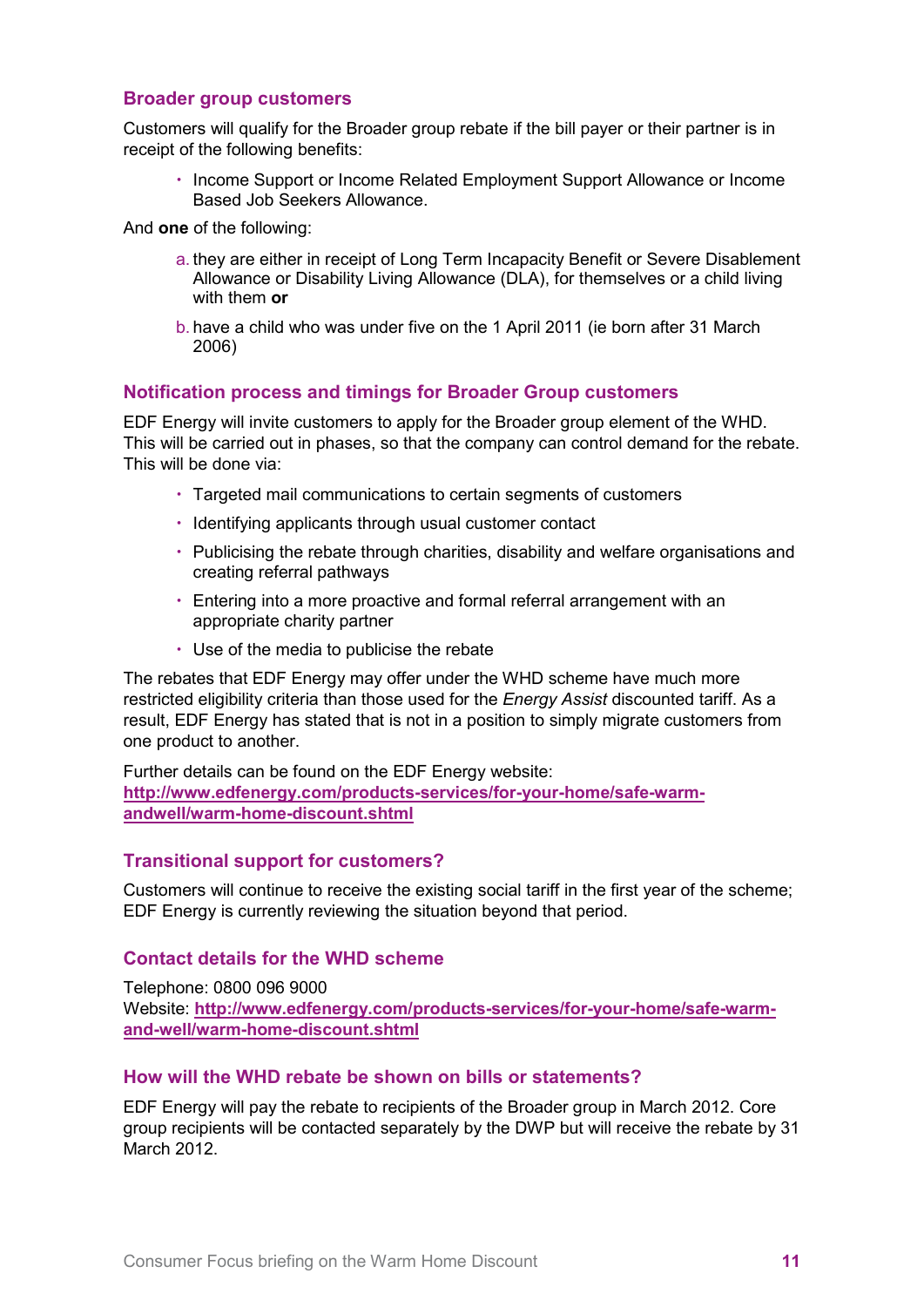#### **Broader group customers**

Customers will qualify for the Broader group rebate if the bill payer or their partner is in receipt of the following benefits:

• Income Support or Income Related Employment Support Allowance or Income Based Job Seekers Allowance.

And **one** of the following:

- a. they are either in receipt of Long Term Incapacity Benefit or Severe Disablement Allowance or Disability Living Allowance (DLA), for themselves or a child living with them **or**
- b. have a child who was under five on the 1 April 2011 (ie born after 31 March 2006)

## **Notification process and timings for Broader Group customers**

EDF Energy will invite customers to apply for the Broader group element of the WHD. This will be carried out in phases, so that the company can control demand for the rebate. This will be done via:

- Targeted mail communications to certain segments of customers
- Identifying applicants through usual customer contact
- Publicising the rebate through charities, disability and welfare organisations and creating referral pathways
- Entering into a more proactive and formal referral arrangement with an appropriate charity partner
- Use of the media to publicise the rebate

The rebates that EDF Energy may offer under the WHD scheme have much more restricted eligibility criteria than those used for the *Energy Assist* discounted tariff. As a result, EDF Energy has stated that is not in a position to simply migrate customers from one product to another.

Further details can be found on the EDF Energy website: **[http://www.edfenergy.com/products-services/for-your-home/safe-warm](http://www.edfenergy.com/products-services/for-your-home/safe-warm-andwell/warm-home-discount.shtml)[andwell/warm-home-discount.shtml](http://www.edfenergy.com/products-services/for-your-home/safe-warm-andwell/warm-home-discount.shtml)**

## **Transitional support for customers?**

Customers will continue to receive the existing social tariff in the first year of the scheme; EDF Energy is currently reviewing the situation beyond that period.

## **Contact details for the WHD scheme**

Telephone: 0800 096 9000 Website: **[http://www.edfenergy.com/products-services/for-your-home/safe-warm](http://www.edfenergy.com/products-services/for-your-home/safe-warm-and-well/warm-home-discount.shtml)[and-well/warm-home-discount.shtml](http://www.edfenergy.com/products-services/for-your-home/safe-warm-and-well/warm-home-discount.shtml)**

## **How will the WHD rebate be shown on bills or statements?**

EDF Energy will pay the rebate to recipients of the Broader group in March 2012. Core group recipients will be contacted separately by the DWP but will receive the rebate by 31 March 2012.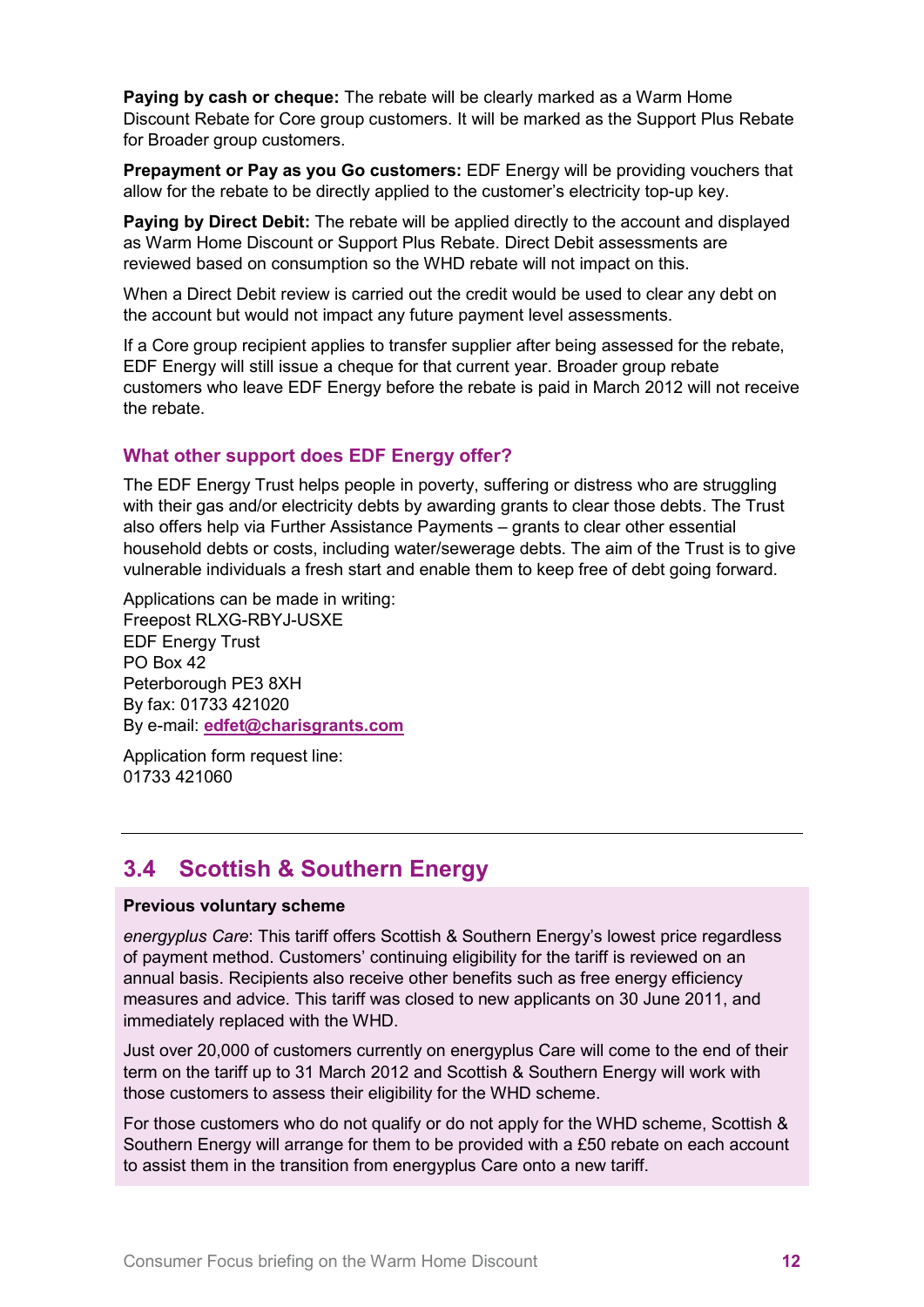**Paying by cash or cheque:** The rebate will be clearly marked as a Warm Home Discount Rebate for Core group customers. It will be marked as the Support Plus Rebate for Broader group customers.

**Prepayment or Pay as you Go customers:** EDF Energy will be providing vouchers that allow for the rebate to be directly applied to the customer's electricity top-up key.

**Paying by Direct Debit:** The rebate will be applied directly to the account and displayed as Warm Home Discount or Support Plus Rebate. Direct Debit assessments are reviewed based on consumption so the WHD rebate will not impact on this.

When a Direct Debit review is carried out the credit would be used to clear any debt on the account but would not impact any future payment level assessments.

If a Core group recipient applies to transfer supplier after being assessed for the rebate, EDF Energy will still issue a cheque for that current year. Broader group rebate customers who leave EDF Energy before the rebate is paid in March 2012 will not receive the rebate.

## **What other support does EDF Energy offer?**

The EDF Energy Trust helps people in poverty, suffering or distress who are struggling with their gas and/or electricity debts by awarding grants to clear those debts. The Trust also offers help via Further Assistance Payments – grants to clear other essential household debts or costs, including water/sewerage debts. The aim of the Trust is to give vulnerable individuals a fresh start and enable them to keep free of debt going forward.

Applications can be made in writing: Freepost RLXG-RBYJ-USXE EDF Energy Trust PO Box 42 Peterborough PE3 8XH By fax: 01733 421020 By e-mail: **[edfet@charisgrants.com](mailto:edfet@charisgrants.com)**

Application form request line: 01733 421060

## <span id="page-11-0"></span>**3.4 Scottish & Southern Energy**

#### **Previous voluntary scheme**

*energyplus Care*: This tariff offers Scottish & Southern Energy's lowest price regardless of payment method. Customers' continuing eligibility for the tariff is reviewed on an annual basis. Recipients also receive other benefits such as free energy efficiency measures and advice. This tariff was closed to new applicants on 30 June 2011, and immediately replaced with the WHD.

Just over 20,000 of customers currently on energyplus Care will come to the end of their term on the tariff up to 31 March 2012 and Scottish & Southern Energy will work with those customers to assess their eligibility for the WHD scheme.

For those customers who do not qualify or do not apply for the WHD scheme, Scottish & Southern Energy will arrange for them to be provided with a £50 rebate on each account to assist them in the transition from energyplus Care onto a new tariff.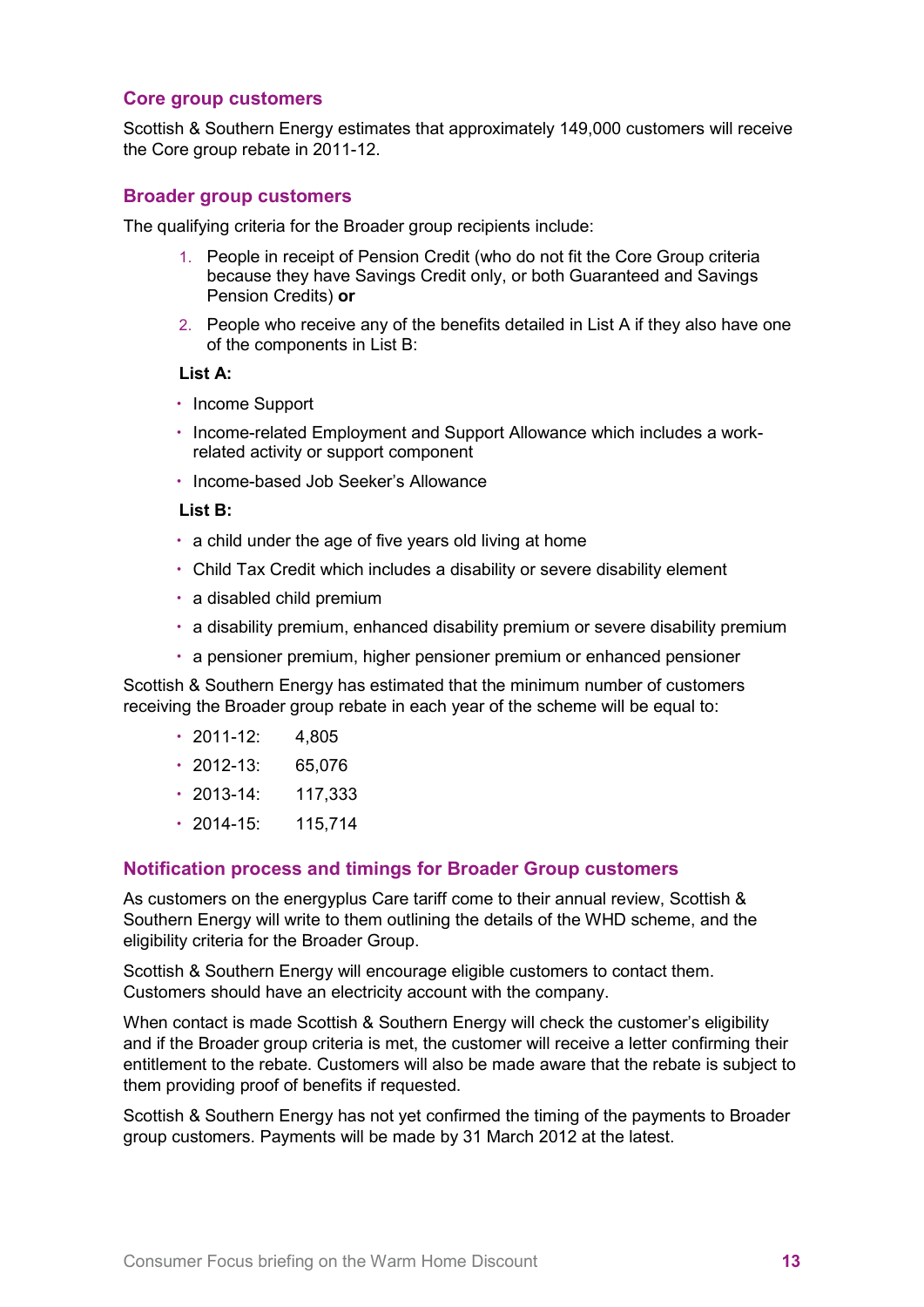#### **Core group customers**

Scottish & Southern Energy estimates that approximately 149,000 customers will receive the Core group rebate in 2011-12.

#### **Broader group customers**

The qualifying criteria for the Broader group recipients include:

- 1. People in receipt of Pension Credit (who do not fit the Core Group criteria because they have Savings Credit only, or both Guaranteed and Savings Pension Credits) **or**
- 2. People who receive any of the benefits detailed in List A if they also have one of the components in List B:

#### **List A:**

- Income Support
- Income-related Employment and Support Allowance which includes a workrelated activity or support component
- Income-based Job Seeker's Allowance

#### **List B:**

- a child under the age of five years old living at home
- Child Tax Credit which includes a disability or severe disability element
- a disabled child premium
- a disability premium, enhanced disability premium or severe disability premium
- a pensioner premium, higher pensioner premium or enhanced pensioner

Scottish & Southern Energy has estimated that the minimum number of customers receiving the Broader group rebate in each year of the scheme will be equal to:

- $\cdot$  2011-12: 4.805
- 2012-13: 65,076
- 2013-14: 117,333
- $\cdot$  2014-15: 115.714

#### **Notification process and timings for Broader Group customers**

As customers on the energyplus Care tariff come to their annual review, Scottish & Southern Energy will write to them outlining the details of the WHD scheme, and the eligibility criteria for the Broader Group.

Scottish & Southern Energy will encourage eligible customers to contact them. Customers should have an electricity account with the company.

When contact is made Scottish & Southern Energy will check the customer's eligibility and if the Broader group criteria is met, the customer will receive a letter confirming their entitlement to the rebate. Customers will also be made aware that the rebate is subject to them providing proof of benefits if requested.

Scottish & Southern Energy has not yet confirmed the timing of the payments to Broader group customers. Payments will be made by 31 March 2012 at the latest.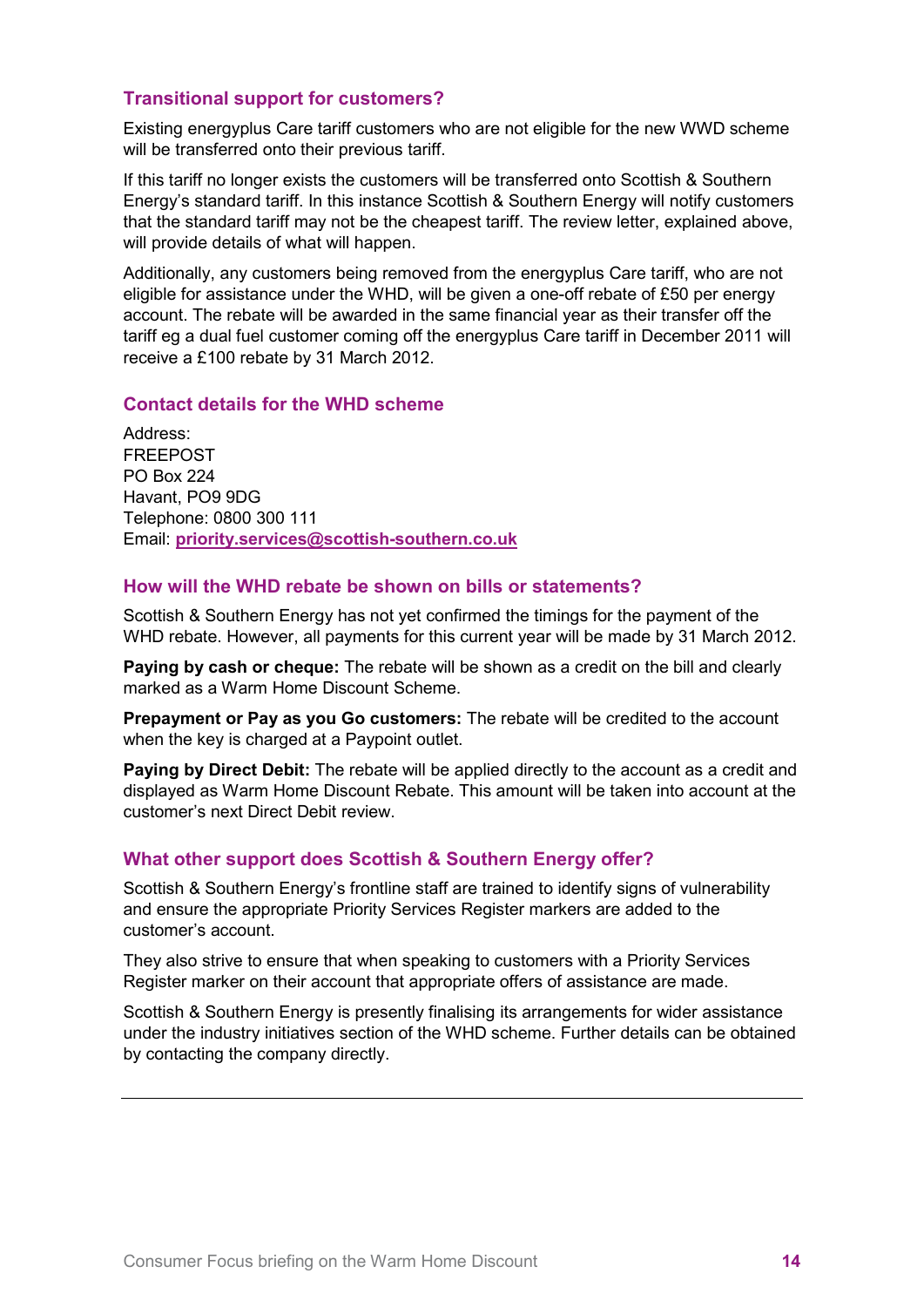## **Transitional support for customers?**

Existing energyplus Care tariff customers who are not eligible for the new WWD scheme will be transferred onto their previous tariff.

If this tariff no longer exists the customers will be transferred onto Scottish & Southern Energy's standard tariff. In this instance Scottish & Southern Energy will notify customers that the standard tariff may not be the cheapest tariff. The review letter, explained above, will provide details of what will happen.

Additionally, any customers being removed from the energyplus Care tariff, who are not eligible for assistance under the WHD, will be given a one-off rebate of £50 per energy account. The rebate will be awarded in the same financial year as their transfer off the tariff eg a dual fuel customer coming off the energyplus Care tariff in December 2011 will receive a £100 rebate by 31 March 2012.

#### **Contact details for the WHD scheme**

Address: FREEPOST PO Box 224 Havant, PO9 9DG Telephone: 0800 300 111 Email: **[priority.services@scottish-southern.co.uk](mailto:priority.services@scottish-southern.co.uk)**

#### **How will the WHD rebate be shown on bills or statements?**

Scottish & Southern Energy has not yet confirmed the timings for the payment of the WHD rebate. However, all payments for this current year will be made by 31 March 2012.

**Paying by cash or cheque:** The rebate will be shown as a credit on the bill and clearly marked as a Warm Home Discount Scheme.

**Prepayment or Pay as you Go customers:** The rebate will be credited to the account when the key is charged at a Paypoint outlet.

**Paying by Direct Debit:** The rebate will be applied directly to the account as a credit and displayed as Warm Home Discount Rebate. This amount will be taken into account at the customer's next Direct Debit review.

## **What other support does Scottish & Southern Energy offer?**

Scottish & Southern Energy's frontline staff are trained to identify signs of vulnerability and ensure the appropriate Priority Services Register markers are added to the customer's account.

They also strive to ensure that when speaking to customers with a Priority Services Register marker on their account that appropriate offers of assistance are made.

Scottish & Southern Energy is presently finalising its arrangements for wider assistance under the industry initiatives section of the WHD scheme. Further details can be obtained by contacting the company directly.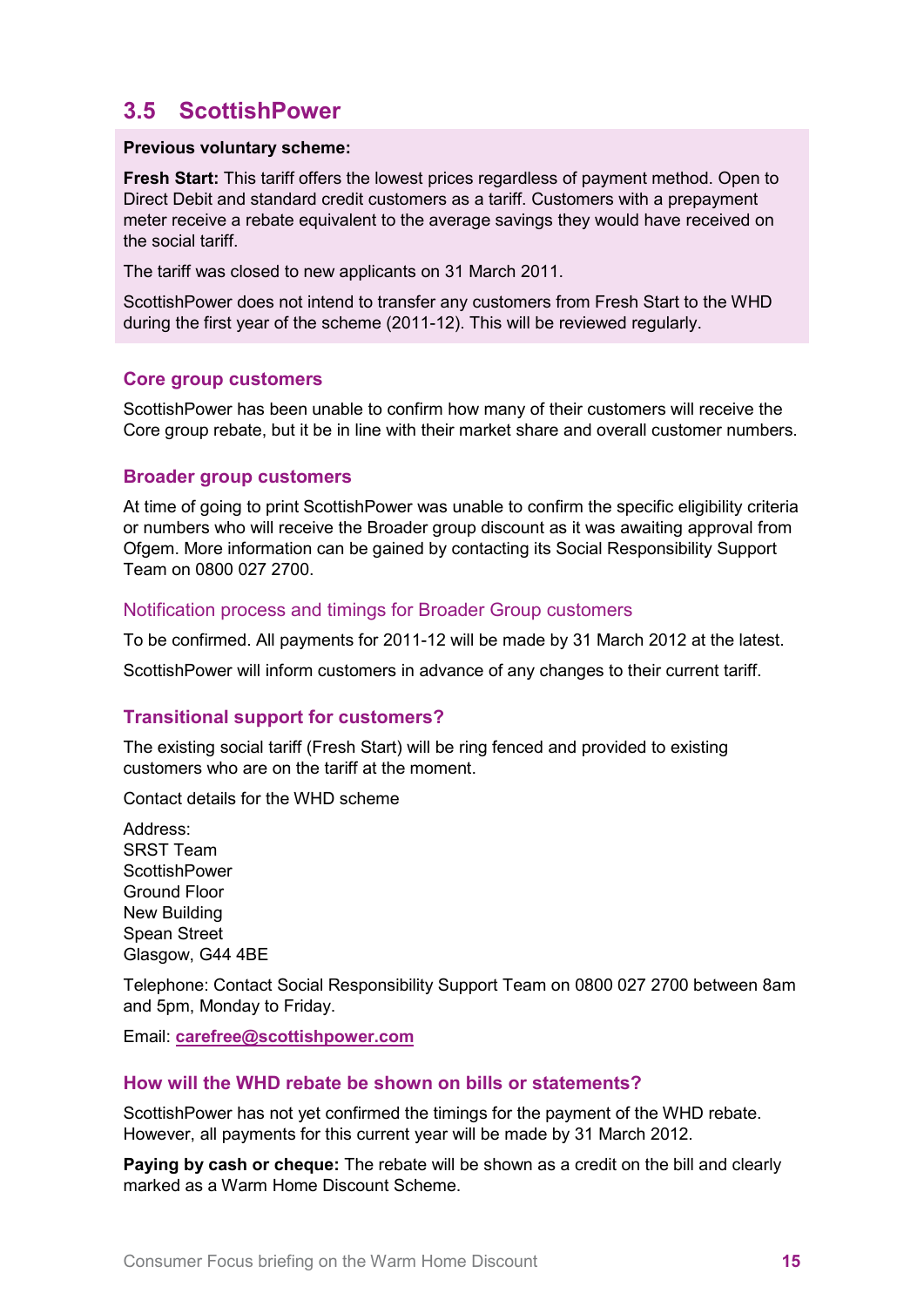## <span id="page-14-0"></span>**3.5 ScottishPower**

#### **Previous voluntary scheme:**

**Fresh Start:** This tariff offers the lowest prices regardless of payment method. Open to Direct Debit and standard credit customers as a tariff. Customers with a prepayment meter receive a rebate equivalent to the average savings they would have received on the social tariff.

The tariff was closed to new applicants on 31 March 2011.

ScottishPower does not intend to transfer any customers from Fresh Start to the WHD during the first year of the scheme (2011-12). This will be reviewed regularly.

## **Core group customers**

ScottishPower has been unable to confirm how many of their customers will receive the Core group rebate, but it be in line with their market share and overall customer numbers.

## **Broader group customers**

At time of going to print ScottishPower was unable to confirm the specific eligibility criteria or numbers who will receive the Broader group discount as it was awaiting approval from Ofgem. More information can be gained by contacting its Social Responsibility Support Team on 0800 027 2700.

## Notification process and timings for Broader Group customers

To be confirmed. All payments for 2011-12 will be made by 31 March 2012 at the latest.

ScottishPower will inform customers in advance of any changes to their current tariff.

## **Transitional support for customers?**

The existing social tariff (Fresh Start) will be ring fenced and provided to existing customers who are on the tariff at the moment.

Contact details for the WHD scheme

Address: SRST Team **ScottishPower** Ground Floor New Building Spean Street Glasgow, G44 4BE

Telephone: Contact Social Responsibility Support Team on 0800 027 2700 between 8am and 5pm, Monday to Friday.

Email: **[carefree@scottishpower.com](mailto:carefree@scottishpower.com)**

#### **How will the WHD rebate be shown on bills or statements?**

ScottishPower has not yet confirmed the timings for the payment of the WHD rebate. However, all payments for this current year will be made by 31 March 2012.

**Paying by cash or cheque:** The rebate will be shown as a credit on the bill and clearly marked as a Warm Home Discount Scheme.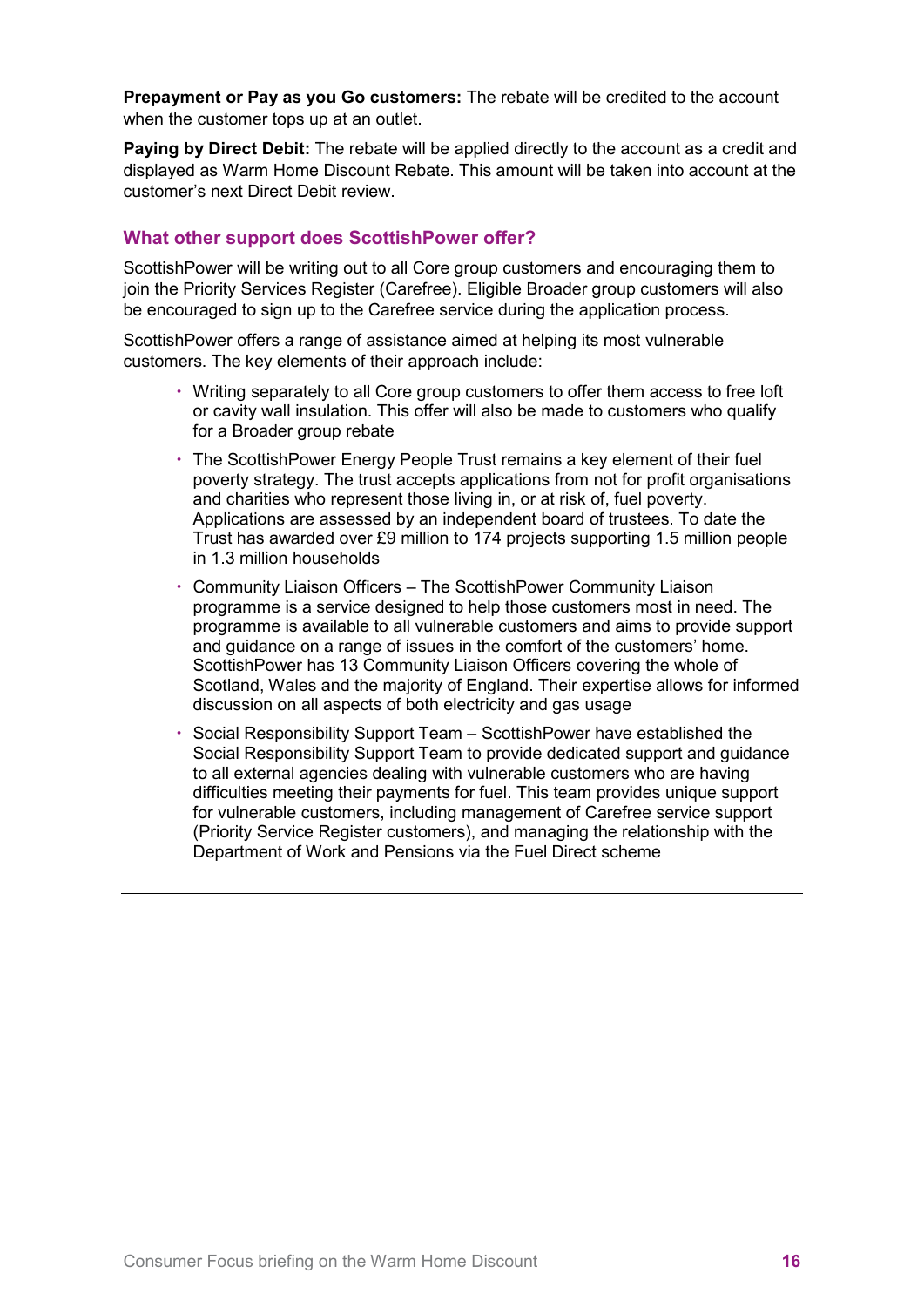**Prepayment or Pay as you Go customers:** The rebate will be credited to the account when the customer tops up at an outlet.

**Paying by Direct Debit:** The rebate will be applied directly to the account as a credit and displayed as Warm Home Discount Rebate. This amount will be taken into account at the customer's next Direct Debit review.

## **What other support does ScottishPower offer?**

ScottishPower will be writing out to all Core group customers and encouraging them to join the Priority Services Register (Carefree). Eligible Broader group customers will also be encouraged to sign up to the Carefree service during the application process.

ScottishPower offers a range of assistance aimed at helping its most vulnerable customers. The key elements of their approach include:

- Writing separately to all Core group customers to offer them access to free loft or cavity wall insulation. This offer will also be made to customers who qualify for a Broader group rebate
- The ScottishPower Energy People Trust remains a key element of their fuel poverty strategy. The trust accepts applications from not for profit organisations and charities who represent those living in, or at risk of, fuel poverty. Applications are assessed by an independent board of trustees. To date the Trust has awarded over £9 million to 174 projects supporting 1.5 million people in 1.3 million households
- Community Liaison Officers The ScottishPower Community Liaison programme is a service designed to help those customers most in need. The programme is available to all vulnerable customers and aims to provide support and guidance on a range of issues in the comfort of the customers' home. ScottishPower has 13 Community Liaison Officers covering the whole of Scotland, Wales and the majority of England. Their expertise allows for informed discussion on all aspects of both electricity and gas usage
- Social Responsibility Support Team ScottishPower have established the Social Responsibility Support Team to provide dedicated support and guidance to all external agencies dealing with vulnerable customers who are having difficulties meeting their payments for fuel. This team provides unique support for vulnerable customers, including management of Carefree service support (Priority Service Register customers), and managing the relationship with the Department of Work and Pensions via the Fuel Direct scheme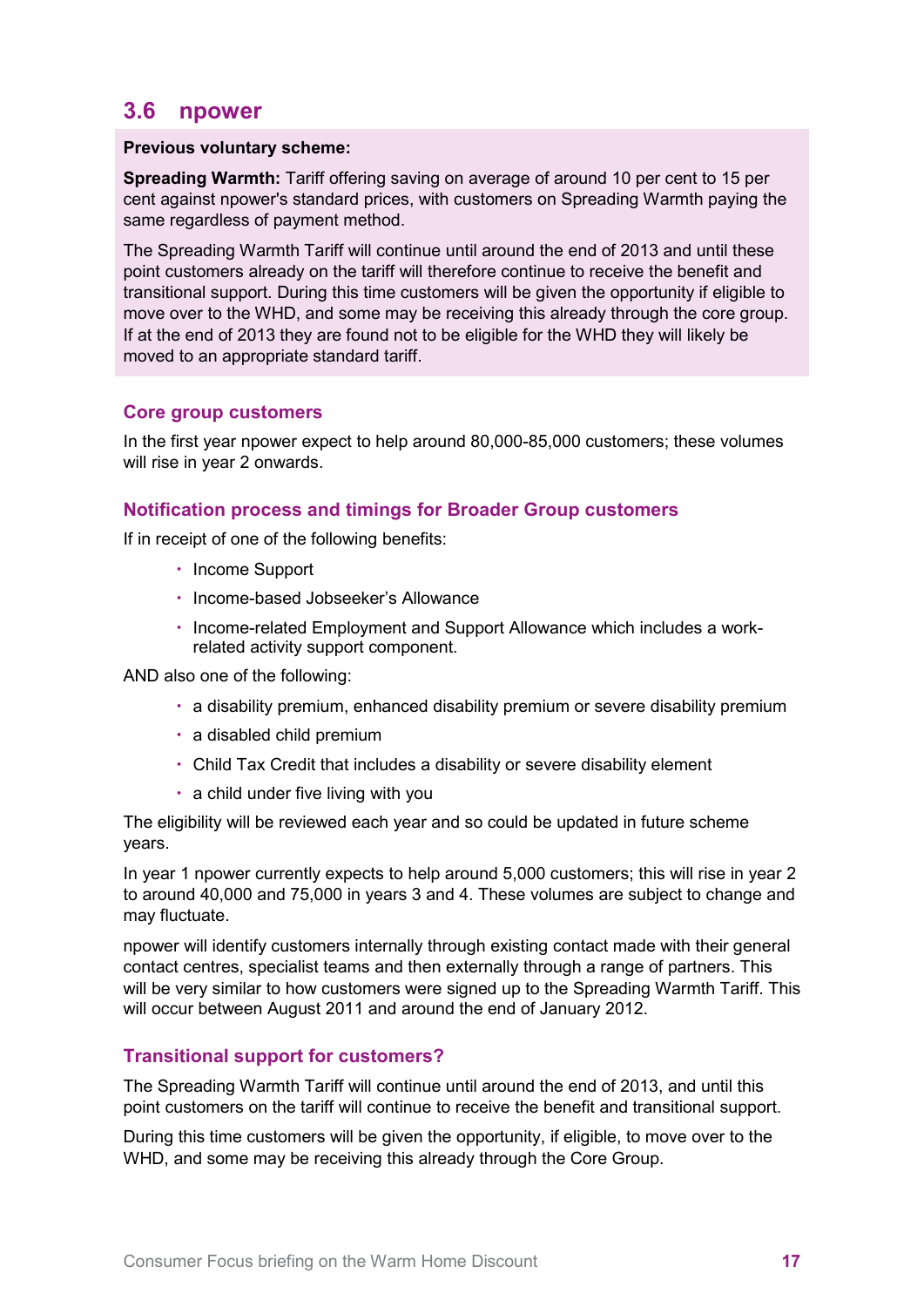## <span id="page-16-0"></span>**3.6 npower**

#### **Previous voluntary scheme:**

**Spreading Warmth:** Tariff offering saving on average of around 10 per cent to 15 per cent against npower's standard prices, with customers on Spreading Warmth paying the same regardless of payment method.

The Spreading Warmth Tariff will continue until around the end of 2013 and until these point customers already on the tariff will therefore continue to receive the benefit and transitional support. During this time customers will be given the opportunity if eligible to move over to the WHD, and some may be receiving this already through the core group. If at the end of 2013 they are found not to be eligible for the WHD they will likely be moved to an appropriate standard tariff.

## **Core group customers**

In the first year npower expect to help around 80,000-85,000 customers; these volumes will rise in year 2 onwards.

## **Notification process and timings for Broader Group customers**

If in receipt of one of the following benefits:

- Income Support
- Income-based Jobseeker's Allowance
- Income-related Employment and Support Allowance which includes a workrelated activity support component.

AND also one of the following:

- a disability premium, enhanced disability premium or severe disability premium
- a disabled child premium
- Child Tax Credit that includes a disability or severe disability element
- a child under five living with you

The eligibility will be reviewed each year and so could be updated in future scheme years.

In year 1 npower currently expects to help around 5,000 customers; this will rise in year 2 to around 40,000 and 75,000 in years 3 and 4. These volumes are subject to change and may fluctuate.

npower will identify customers internally through existing contact made with their general contact centres, specialist teams and then externally through a range of partners. This will be very similar to how customers were signed up to the Spreading Warmth Tariff. This will occur between August 2011 and around the end of January 2012.

## **Transitional support for customers?**

The Spreading Warmth Tariff will continue until around the end of 2013, and until this point customers on the tariff will continue to receive the benefit and transitional support.

During this time customers will be given the opportunity, if eligible, to move over to the WHD, and some may be receiving this already through the Core Group.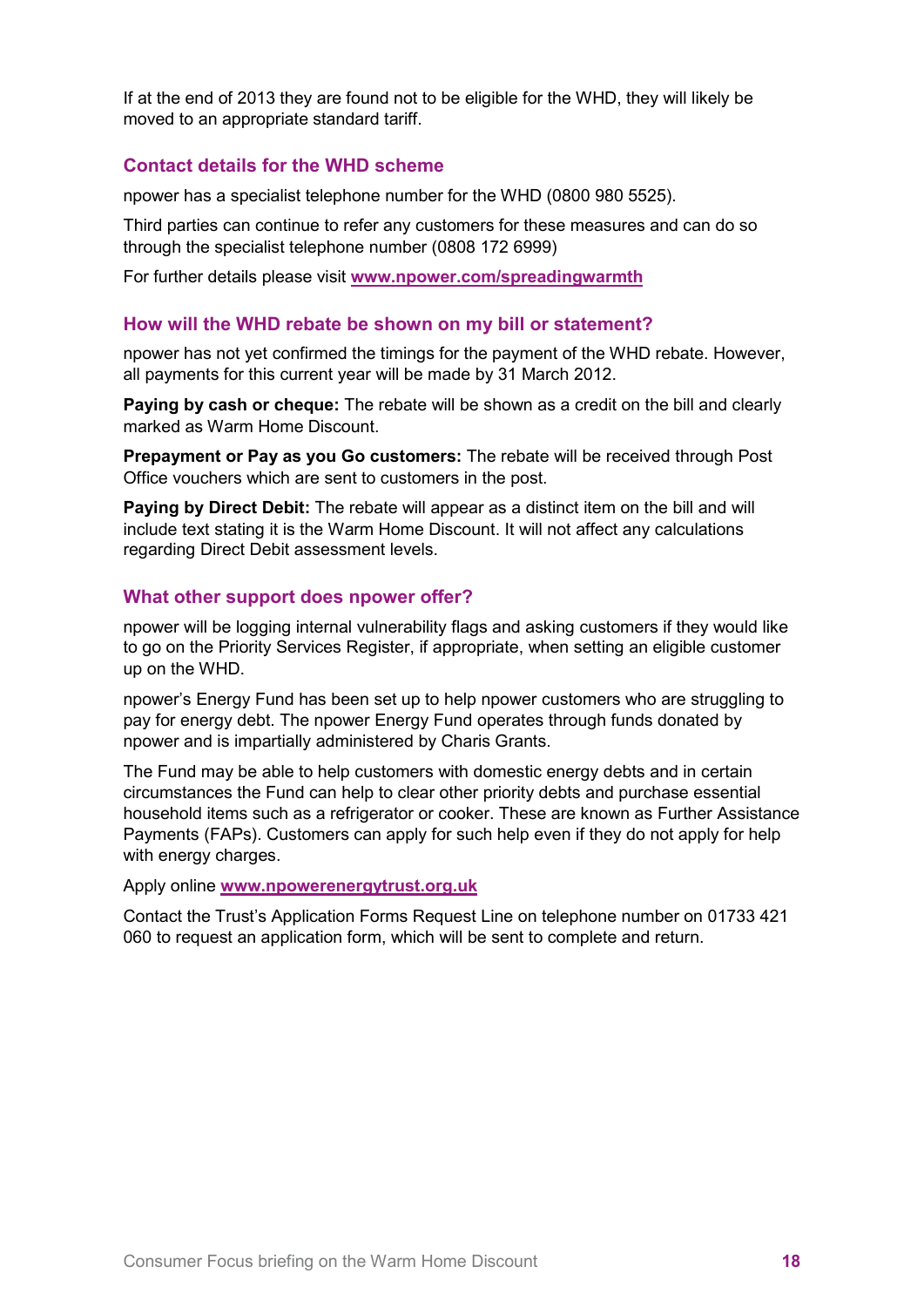If at the end of 2013 they are found not to be eligible for the WHD, they will likely be moved to an appropriate standard tariff.

#### **Contact details for the WHD scheme**

npower has a specialist telephone number for the WHD (0800 980 5525).

Third parties can continue to refer any customers for these measures and can do so through the specialist telephone number (0808 172 6999)

For further details please visit **[www.npower.com/spreadingwarmth](http://www.npower.com/spreadingwarmth)**

#### **How will the WHD rebate be shown on my bill or statement?**

npower has not yet confirmed the timings for the payment of the WHD rebate. However, all payments for this current year will be made by 31 March 2012.

**Paying by cash or cheque:** The rebate will be shown as a credit on the bill and clearly marked as Warm Home Discount.

**Prepayment or Pay as you Go customers:** The rebate will be received through Post Office vouchers which are sent to customers in the post.

**Paying by Direct Debit:** The rebate will appear as a distinct item on the bill and will include text stating it is the Warm Home Discount. It will not affect any calculations regarding Direct Debit assessment levels.

#### **What other support does npower offer?**

npower will be logging internal vulnerability flags and asking customers if they would like to go on the Priority Services Register, if appropriate, when setting an eligible customer up on the WHD.

npower's Energy Fund has been set up to help npower customers who are struggling to pay for energy debt. The npower Energy Fund operates through funds donated by npower and is impartially administered by Charis Grants.

The Fund may be able to help customers with domestic energy debts and in certain circumstances the Fund can help to clear other priority debts and purchase essential household items such as a refrigerator or cooker. These are known as Further Assistance Payments (FAPs). Customers can apply for such help even if they do not apply for help with energy charges.

Apply online **[www.npowerenergytrust.org.uk](http://www.npowerenergytrust.org.uk/)**

Contact the Trust's Application Forms Request Line on telephone number on 01733 421 060 to request an application form, which will be sent to complete and return.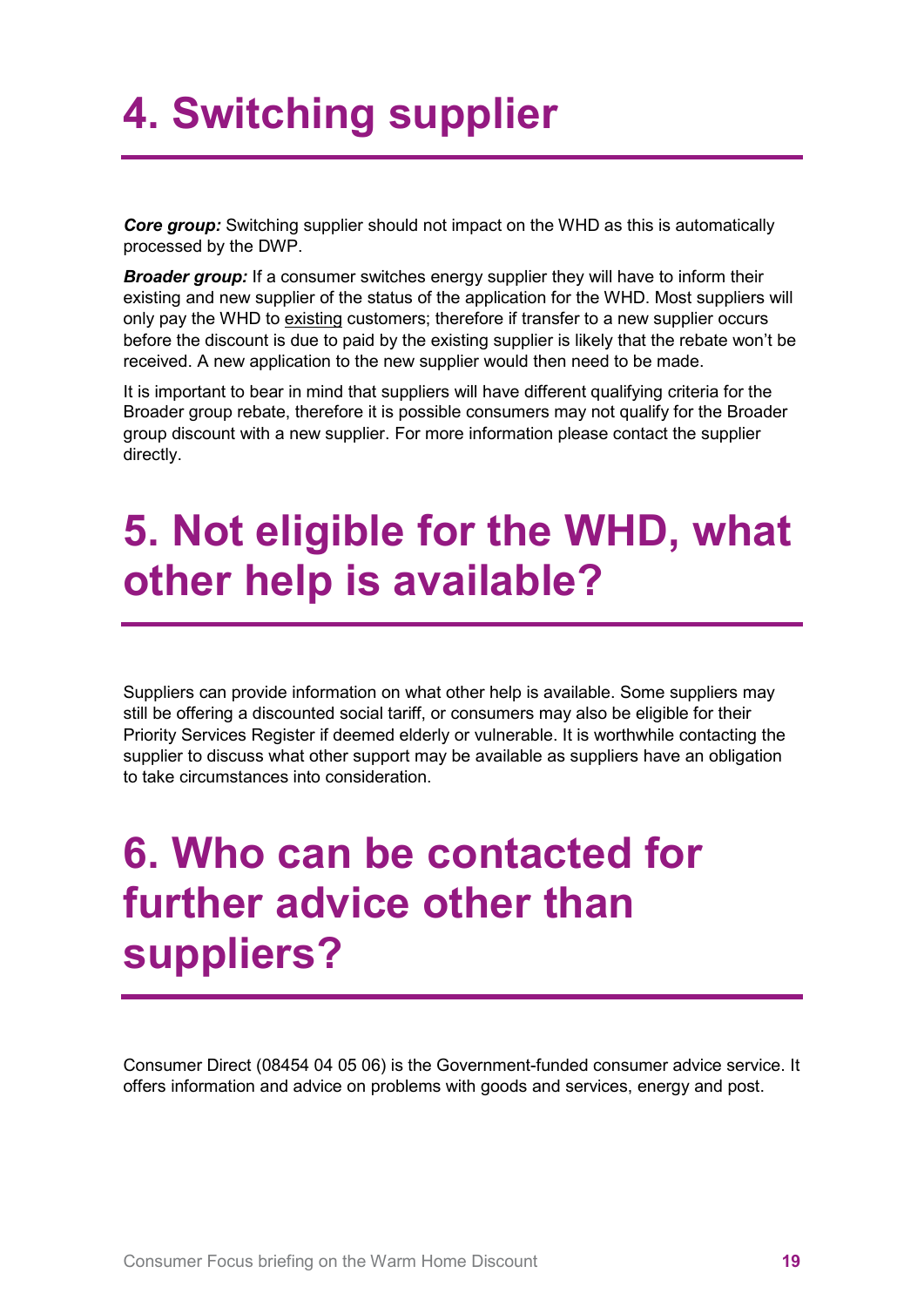## <span id="page-18-0"></span>**4. Switching supplier**

*Core group:* Switching supplier should not impact on the WHD as this is automatically processed by the DWP.

**Broader group:** If a consumer switches energy supplier they will have to inform their existing and new supplier of the status of the application for the WHD. Most suppliers will only pay the WHD to existing customers; therefore if transfer to a new supplier occurs before the discount is due to paid by the existing supplier is likely that the rebate won't be received. A new application to the new supplier would then need to be made.

It is important to bear in mind that suppliers will have different qualifying criteria for the Broader group rebate, therefore it is possible consumers may not qualify for the Broader group discount with a new supplier. For more information please contact the supplier directly.

## <span id="page-18-1"></span>**5. Not eligible for the WHD, what other help is available?**

Suppliers can provide information on what other help is available. Some suppliers may still be offering a discounted social tariff, or consumers may also be eligible for their Priority Services Register if deemed elderly or vulnerable. It is worthwhile contacting the supplier to discuss what other support may be available as suppliers have an obligation to take circumstances into consideration.

## <span id="page-18-2"></span>**6. Who can be contacted for further advice other than suppliers?**

Consumer Direct (08454 04 05 06) is the Government-funded consumer advice service. It offers information and advice on problems with goods and services, energy and post.